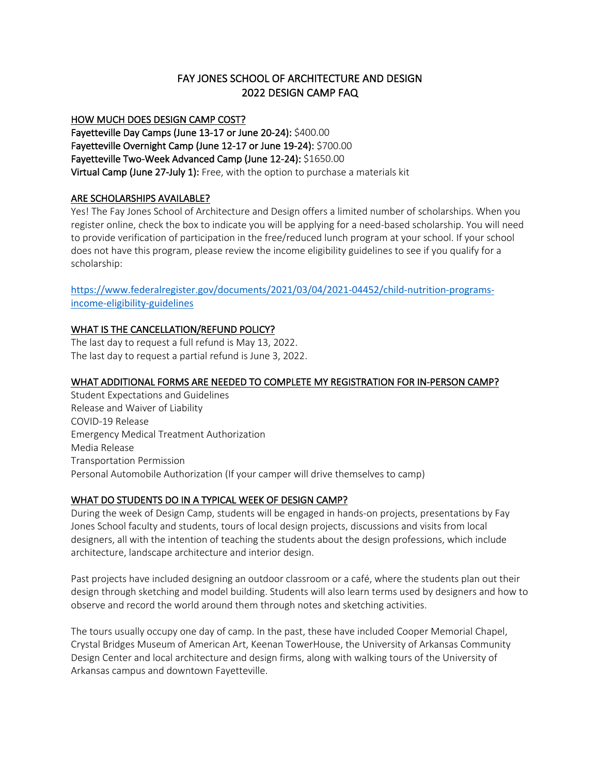# FAY JONES SCHOOL OF ARCHITECTURE AND DESIGN 2022 DESIGN CAMP FAQ

### HOW MUCH DOES DESIGN CAMP COST?

Fayetteville Day Camps (June 13-17 or June 20-24): \$400.00 Fayetteville Overnight Camp (June 12-17 or June 19-24): \$700.00 Fayetteville Two-Week Advanced Camp (June 12-24): \$1650.00 Virtual Camp (June 27-July 1): Free, with the option to purchase a materials kit

## ARE SCHOLARSHIPS AVAILABLE?

Yes! The Fay Jones School of Architecture and Design offers a limited number of scholarships. When you register online, check the box to indicate you will be applying for a need-based scholarship. You will need to provide verification of participation in the free/reduced lunch program at your school. If your school does not have this program, please review the income eligibility guidelines to see if you qualify for a scholarship:

https://www.federalregister.gov/documents/2021/03/04/2021-04452/child-nutrition-programsincome-eligibility-guidelines

# WHAT IS THE CANCELLATION/REFUND POLICY?

The last day to request a full refund is May 13, 2022. The last day to request a partial refund is June 3, 2022.

## WHAT ADDITIONAL FORMS ARE NEEDED TO COMPLETE MY REGISTRATION FOR IN-PERSON CAMP?

Student Expectations and Guidelines Release and Waiver of Liability COVID-19 Release Emergency Medical Treatment Authorization Media Release Transportation Permission Personal Automobile Authorization (If your camper will drive themselves to camp)

# WHAT DO STUDENTS DO IN A TYPICAL WEEK OF DESIGN CAMP?

During the week of Design Camp, students will be engaged in hands-on projects, presentations by Fay Jones School faculty and students, tours of local design projects, discussions and visits from local designers, all with the intention of teaching the students about the design professions, which include architecture, landscape architecture and interior design.

Past projects have included designing an outdoor classroom or a café, where the students plan out their design through sketching and model building. Students will also learn terms used by designers and how to observe and record the world around them through notes and sketching activities.

The tours usually occupy one day of camp. In the past, these have included Cooper Memorial Chapel, Crystal Bridges Museum of American Art, Keenan TowerHouse, the University of Arkansas Community Design Center and local architecture and design firms, along with walking tours of the University of Arkansas campus and downtown Fayetteville.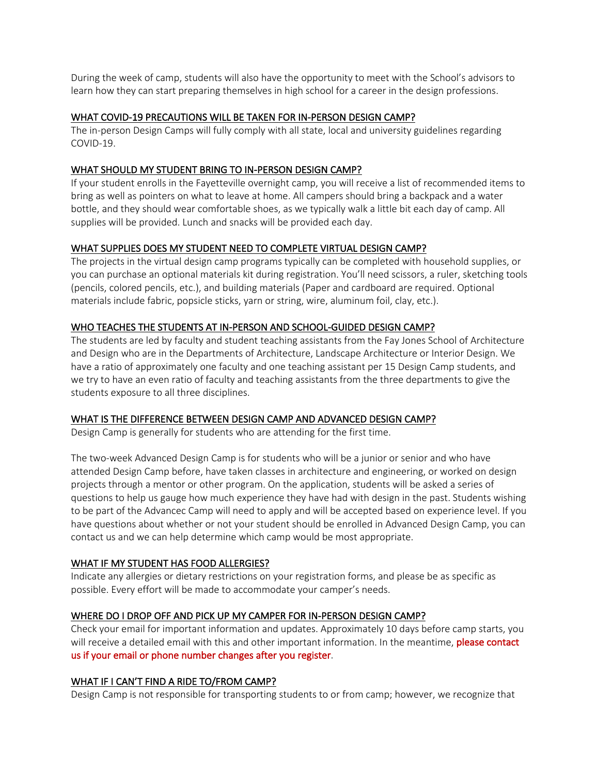During the week of camp, students will also have the opportunity to meet with the School's advisors to learn how they can start preparing themselves in high school for a career in the design professions.

#### WHAT COVID-19 PRECAUTIONS WILL BE TAKEN FOR IN-PERSON DESIGN CAMP?

The in-person Design Camps will fully comply with all state, local and university guidelines regarding COVID-19.

#### WHAT SHOULD MY STUDENT BRING TO IN-PERSON DESIGN CAMP?

If your student enrolls in the Fayetteville overnight camp, you will receive a list of recommended items to bring as well as pointers on what to leave at home. All campers should bring a backpack and a water bottle, and they should wear comfortable shoes, as we typically walk a little bit each day of camp. All supplies will be provided. Lunch and snacks will be provided each day.

#### WHAT SUPPLIES DOES MY STUDENT NEED TO COMPLETE VIRTUAL DESIGN CAMP?

The projects in the virtual design camp programs typically can be completed with household supplies, or you can purchase an optional materials kit during registration. You'll need scissors, a ruler, sketching tools (pencils, colored pencils, etc.), and building materials (Paper and cardboard are required. Optional materials include fabric, popsicle sticks, yarn or string, wire, aluminum foil, clay, etc.).

### WHO TEACHES THE STUDENTS AT IN-PERSON AND SCHOOL-GUIDED DESIGN CAMP?

The students are led by faculty and student teaching assistants from the Fay Jones School of Architecture and Design who are in the Departments of Architecture, Landscape Architecture or Interior Design. We have a ratio of approximately one faculty and one teaching assistant per 15 Design Camp students, and we try to have an even ratio of faculty and teaching assistants from the three departments to give the students exposure to all three disciplines.

#### WHAT IS THE DIFFERENCE BETWEEN DESIGN CAMP AND ADVANCED DESIGN CAMP?

Design Camp is generally for students who are attending for the first time.

The two-week Advanced Design Camp is for students who will be a junior or senior and who have attended Design Camp before, have taken classes in architecture and engineering, or worked on design projects through a mentor or other program. On the application, students will be asked a series of questions to help us gauge how much experience they have had with design in the past. Students wishing to be part of the Advancec Camp will need to apply and will be accepted based on experience level. If you have questions about whether or not your student should be enrolled in Advanced Design Camp, you can contact us and we can help determine which camp would be most appropriate.

#### WHAT IF MY STUDENT HAS FOOD ALLERGIES?

Indicate any allergies or dietary restrictions on your registration forms, and please be as specific as possible. Every effort will be made to accommodate your camper's needs.

# WHERE DO I DROP OFF AND PICK UP MY CAMPER FOR IN-PERSON DESIGN CAMP?

Check your email for important information and updates. Approximately 10 days before camp starts, you will receive a detailed email with this and other important information. In the meantime, **please contact** us if your email or phone number changes after you register.

#### WHAT IF I CAN'T FIND A RIDE TO/FROM CAMP?

Design Camp is not responsible for transporting students to or from camp; however, we recognize that